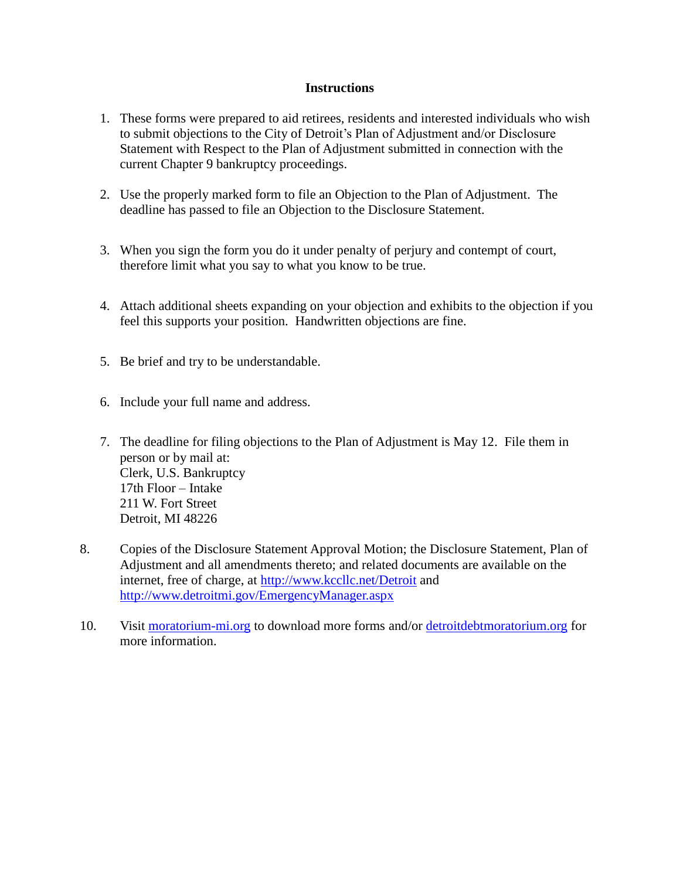#### **Instructions**

- 1. These forms were prepared to aid retirees, residents and interested individuals who wish to submit objections to the City of Detroit's Plan of Adjustment and/or Disclosure Statement with Respect to the Plan of Adjustment submitted in connection with the current Chapter 9 bankruptcy proceedings.
- 2. Use the properly marked form to file an Objection to the Plan of Adjustment. The deadline has passed to file an Objection to the Disclosure Statement.
- 3. When you sign the form you do it under penalty of perjury and contempt of court, therefore limit what you say to what you know to be true.
- 4. Attach additional sheets expanding on your objection and exhibits to the objection if you feel this supports your position. Handwritten objections are fine.
- 5. Be brief and try to be understandable.
- 6. Include your full name and address.
- 7. The deadline for filing objections to the Plan of Adjustment is May 12. File them in person or by mail at: Clerk, U.S. Bankruptcy 17th Floor – Intake 211 W. Fort Street Detroit, MI 48226
- 8. Copies of the Disclosure Statement Approval Motion; the Disclosure Statement, Plan of Adjustment and all amendments thereto; and related documents are available on the internet, free of charge, at<http://www.kccllc.net/Detroit> and <http://www.detroitmi.gov/EmergencyManager.aspx>
- 10. Visit [moratorium-mi.org](http://moratorium-mi.org/) to download more forms and/or [detroitdebtmoratorium.org](http://detroitdebtmoratorium.org/) for more information.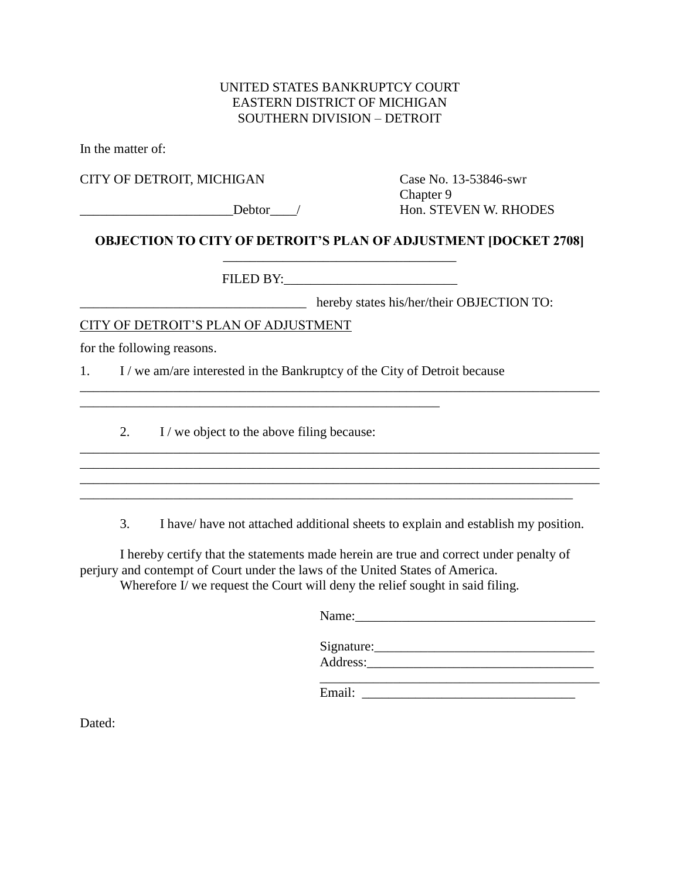### UNITED STATES BANKRUPTCY COURT EASTERN DISTRICT OF MICHIGAN SOUTHERN DIVISION – DETROIT

In the matter of:

CITY OF DETROIT, MICHIGAN Case No. 13-53846-swr

Chapter 9 \_\_\_\_\_\_\_\_\_\_\_\_\_\_\_\_\_\_\_\_\_\_\_Debtor\_\_\_\_/ Hon. STEVEN W. RHODES

## **OBJECTION TO CITY OF DETROIT'S PLAN OF ADJUSTMENT [DOCKET 2708]**  \_\_\_\_\_\_\_\_\_\_\_\_\_\_\_\_\_\_\_\_\_\_\_\_\_\_\_\_\_\_\_\_\_\_\_

\_\_\_\_\_\_\_\_\_\_\_\_\_\_\_\_\_\_\_\_\_\_\_\_\_\_\_\_\_\_\_\_\_\_\_\_\_\_\_\_\_\_\_\_\_\_\_\_\_\_\_\_\_\_\_\_\_\_\_\_\_\_\_\_\_\_\_\_\_\_\_\_\_\_\_\_\_\_

\_\_\_\_\_\_\_\_\_\_\_\_\_\_\_\_\_\_\_\_\_\_\_\_\_\_\_\_\_\_\_\_\_\_\_\_\_\_\_\_\_\_\_\_\_\_\_\_\_\_\_\_\_\_\_\_\_\_\_\_\_\_\_\_\_\_\_\_\_\_\_\_\_\_\_\_\_\_ \_\_\_\_\_\_\_\_\_\_\_\_\_\_\_\_\_\_\_\_\_\_\_\_\_\_\_\_\_\_\_\_\_\_\_\_\_\_\_\_\_\_\_\_\_\_\_\_\_\_\_\_\_\_\_\_\_\_\_\_\_\_\_\_\_\_\_\_\_\_\_\_\_\_\_\_\_\_ \_\_\_\_\_\_\_\_\_\_\_\_\_\_\_\_\_\_\_\_\_\_\_\_\_\_\_\_\_\_\_\_\_\_\_\_\_\_\_\_\_\_\_\_\_\_\_\_\_\_\_\_\_\_\_\_\_\_\_\_\_\_\_\_\_\_\_\_\_\_\_\_\_\_

FILED BY:

hereby states his/her/their OBJECTION TO:

\_\_\_\_\_\_\_\_\_\_\_\_\_\_\_\_\_\_\_\_\_\_\_\_\_\_\_\_\_\_\_\_\_\_\_\_\_\_\_\_\_\_\_\_\_\_\_\_\_\_\_\_\_\_\_\_\_\_\_\_\_\_\_\_\_\_\_\_\_\_\_\_\_\_\_\_\_\_

## CITY OF DETROIT'S PLAN OF ADJUSTMENT

for the following reasons.

1. I / we am/are interested in the Bankruptcy of the City of Detroit because

2. I / we object to the above filing because:

\_\_\_\_\_\_\_\_\_\_\_\_\_\_\_\_\_\_\_\_\_\_\_\_\_\_\_\_\_\_\_\_\_\_\_\_\_\_\_\_\_\_\_\_\_\_\_\_\_\_\_\_\_\_

3. I have/ have not attached additional sheets to explain and establish my position.

I hereby certify that the statements made herein are true and correct under penalty of perjury and contempt of Court under the laws of the United States of America. Wherefore I/ we request the Court will deny the relief sought in said filing.

| Name:      |  |  |
|------------|--|--|
| Signature: |  |  |
| Address:   |  |  |

\_\_\_\_\_\_\_\_\_\_\_\_\_\_\_\_\_\_\_\_\_\_\_\_\_\_\_\_\_\_\_\_\_\_\_\_\_\_\_\_\_\_ Email:

Dated: